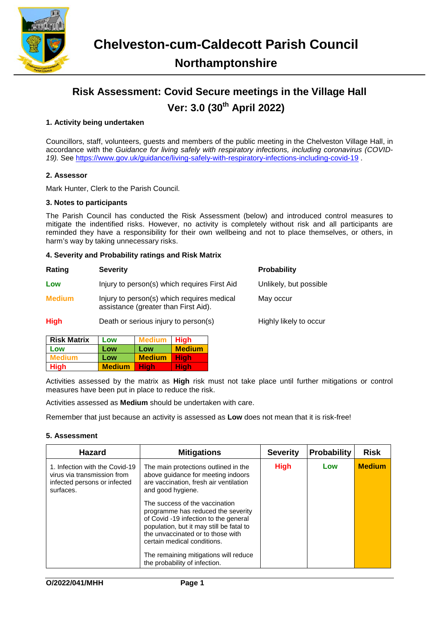

# **Risk Assessment: Covid Secure meetings in the Village Hall Ver: 3.0 (30th April 2022)**

## **1. Activity being undertaken**

Councillors, staff, volunteers, guests and members of the public meeting in the Chelveston Village Hall, in accordance with the *Guidance for living safely with respiratory infections, including coronavirus (COVID-19).* See<https://www.gov.uk/guidance/living-safely-with-respiratory-infections-including-covid-19> .

### **2. Assessor**

Mark Hunter, Clerk to the Parish Council.

### **3. Notes to participants**

The Parish Council has conducted the Risk Assessment (below) and introduced control measures to mitigate the indentified risks. However, no activity is completely without risk and all participants are reminded they have a responsibility for their own wellbeing and not to place themselves, or others, in harm's way by taking unnecessary risks.

## **4. Severity and Probability ratings and Risk Matrix**

| Rating        | <b>Severity</b>                                                                    | <b>Probability</b>     |
|---------------|------------------------------------------------------------------------------------|------------------------|
| Low           | Injury to person(s) which requires First Aid                                       | Unlikely, but possible |
| <b>Medium</b> | Injury to person(s) which requires medical<br>assistance (greater than First Aid). | May occur              |
| <b>High</b>   | Death or serious injury to person(s)                                               | Highly likely to occur |

| <b>Risk Matrix</b> | Low           | <b>Medium</b> | <b>High</b>   |
|--------------------|---------------|---------------|---------------|
| Low                | Low           | Low           | <b>Medium</b> |
| <b>Medium</b>      | Low           | <b>Medium</b> | <b>High</b>   |
| <b>High</b>        | <b>Medium</b> | Hiah          | Hiah          |

Activities assessed by the matrix as **High** risk must not take place until further mitigations or control measures have been put in place to reduce the risk.

Activities assessed as **Medium** should be undertaken with care.

Remember that just because an activity is assessed as **Low** does not mean that it is risk-free!

### **5. Assessment**

| <b>Hazard</b>                                                                                              | <b>Mitigations</b>                                                                                                                                                                                                                                                                                      | <b>Severity</b> | <b>Probability</b> | <b>Risk</b>   |
|------------------------------------------------------------------------------------------------------------|---------------------------------------------------------------------------------------------------------------------------------------------------------------------------------------------------------------------------------------------------------------------------------------------------------|-----------------|--------------------|---------------|
| 1. Infection with the Covid-19<br>virus via transmission from<br>infected persons or infected<br>surfaces. | The main protections outlined in the<br>above guidance for meeting indoors<br>are vaccination, fresh air ventilation<br>and good hygiene.                                                                                                                                                               | <b>High</b>     | Low                | <b>Medium</b> |
|                                                                                                            | The success of the vaccination<br>programme has reduced the severity<br>of Covid -19 infection to the general<br>population, but it may still be fatal to<br>the unvaccinated or to those with<br>certain medical conditions.<br>The remaining mitigations will reduce<br>the probability of infection. |                 |                    |               |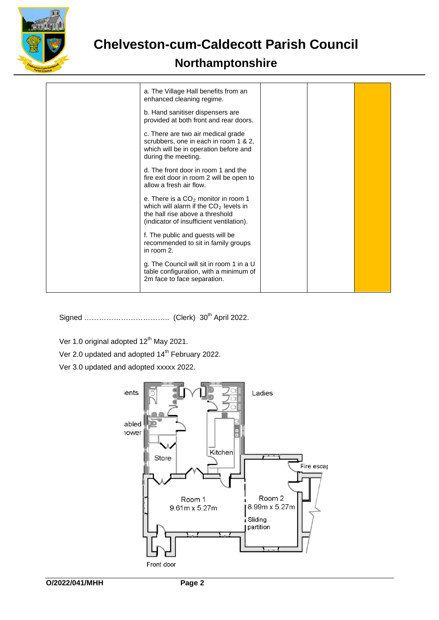

# **Chelveston-cum-Caldecott Parish Council**

# **Northamptonshire**

| a. The Village Hall benefits from an<br>enhanced cleaning regime.                                                                                               |  |  |
|-----------------------------------------------------------------------------------------------------------------------------------------------------------------|--|--|
| b. Hand sanitiser dispensers are<br>provided at both front and rear doors.                                                                                      |  |  |
| c. There are two air medical grade<br>scrubbers, one in each in room 1 & 2,<br>which will be in operation before and<br>during the meeting.                     |  |  |
| d. The front door in room 1 and the<br>fire exit door in room 2 will be open to<br>allow a fresh air flow.                                                      |  |  |
| e. There is a $CO2$ monitor in room 1<br>which will alarm if the $CO2$ levels in<br>the hall rise above a threshold<br>(indicator of insufficient ventilation). |  |  |
| f. The public and guests will be<br>recommended to sit in family groups<br>in room 2.                                                                           |  |  |
| g. The Council will sit in room 1 in a U<br>table configuration, with a minimum of<br>2m face to face separation.                                               |  |  |

Signed …………………………….. (Clerk) 30th April 2022.

Ver 1.0 original adopted 12<sup>th</sup> May 2021.

- Ver 2.0 updated and adopted 14<sup>th</sup> February 2022.
- Ver 3.0 updated and adopted xxxxx 2022.